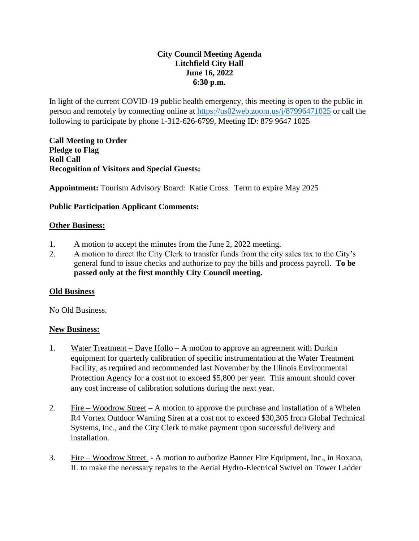## **City Council Meeting Agenda Litchfield City Hall June 16, 2022 6:30 p.m.**

In light of the current COVID-19 public health emergency, this meeting is open to the public in person and remotely by connecting online at<https://us02web.zoom.us/j/87996471025> or call the following to participate by phone 1-312-626-6799, Meeting ID: 879 9647 1025

**Call Meeting to Order Pledge to Flag Roll Call Recognition of Visitors and Special Guests:** 

**Appointment:** Tourism Advisory Board: Katie Cross. Term to expire May 2025

## **Public Participation Applicant Comments:**

#### **Other Business:**

- 1. A motion to accept the minutes from the June 2, 2022 meeting.
- 2. A motion to direct the City Clerk to transfer funds from the city sales tax to the City's general fund to issue checks and authorize to pay the bills and process payroll. **To be passed only at the first monthly City Council meeting.**

#### **Old Business**

No Old Business.

#### **New Business:**

- 1. Water Treatment Dave Hollo A motion to approve an agreement with Durkin equipment for quarterly calibration of specific instrumentation at the Water Treatment Facility, as required and recommended last November by the Illinois Environmental Protection Agency for a cost not to exceed \$5,800 per year. This amount should cover any cost increase of calibration solutions during the next year.
- 2. Fire Woodrow Street A motion to approve the purchase and installation of a Whelen R4 Vortex Outdoor Warning Siren at a cost not to exceed \$30,305 from Global Technical Systems, Inc., and the City Clerk to make payment upon successful delivery and installation.
- 3. Fire Woodrow Street A motion to authorize Banner Fire Equipment, Inc., in Roxana, IL to make the necessary repairs to the Aerial Hydro-Electrical Swivel on Tower Ladder